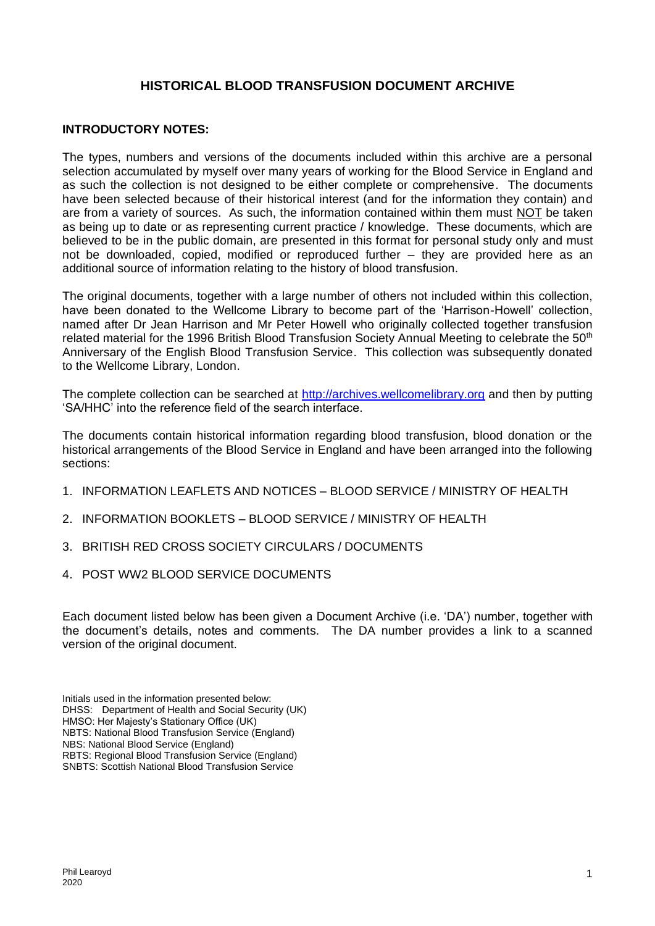## **HISTORICAL BLOOD TRANSFUSION DOCUMENT ARCHIVE**

## **INTRODUCTORY NOTES:**

The types, numbers and versions of the documents included within this archive are a personal selection accumulated by myself over many years of working for the Blood Service in England and as such the collection is not designed to be either complete or comprehensive. The documents have been selected because of their historical interest (and for the information they contain) and are from a variety of sources. As such, the information contained within them must NOT be taken as being up to date or as representing current practice / knowledge. These documents, which are believed to be in the public domain, are presented in this format for personal study only and must not be downloaded, copied, modified or reproduced further – they are provided here as an additional source of information relating to the history of blood transfusion.

The original documents, together with a large number of others not included within this collection, have been donated to the Wellcome Library to become part of the 'Harrison-Howell' collection, named after Dr Jean Harrison and Mr Peter Howell who originally collected together transfusion related material for the 1996 British Blood Transfusion Society Annual Meeting to celebrate the 50<sup>th</sup> Anniversary of the English Blood Transfusion Service. This collection was subsequently donated to the Wellcome Library, London.

The complete collection can be searched at [http://archives.wellcomelibrary.org](http://archives.wellcomelibrary.org/) and then by putting 'SA/HHC' into the reference field of the search interface.

The documents contain historical information regarding blood transfusion, blood donation or the historical arrangements of the Blood Service in England and have been arranged into the following sections:

- 1. INFORMATION LEAFLETS AND NOTICES BLOOD SERVICE / MINISTRY OF HEALTH
- 2. INFORMATION BOOKLETS BLOOD SERVICE / MINISTRY OF HEALTH
- 3. BRITISH RED CROSS SOCIETY CIRCULARS / DOCUMENTS
- 4. POST WW2 BLOOD SERVICE DOCUMENTS

Each document listed below has been given a Document Archive (i.e. 'DA') number, together with the document's details, notes and comments. The DA number provides a link to a scanned version of the original document.

Initials used in the information presented below: DHSS: Department of Health and Social Security (UK) HMSO: Her Majesty's Stationary Office (UK) NBTS: National Blood Transfusion Service (England) NBS: National Blood Service (England) RBTS: Regional Blood Transfusion Service (England) SNBTS: Scottish National Blood Transfusion Service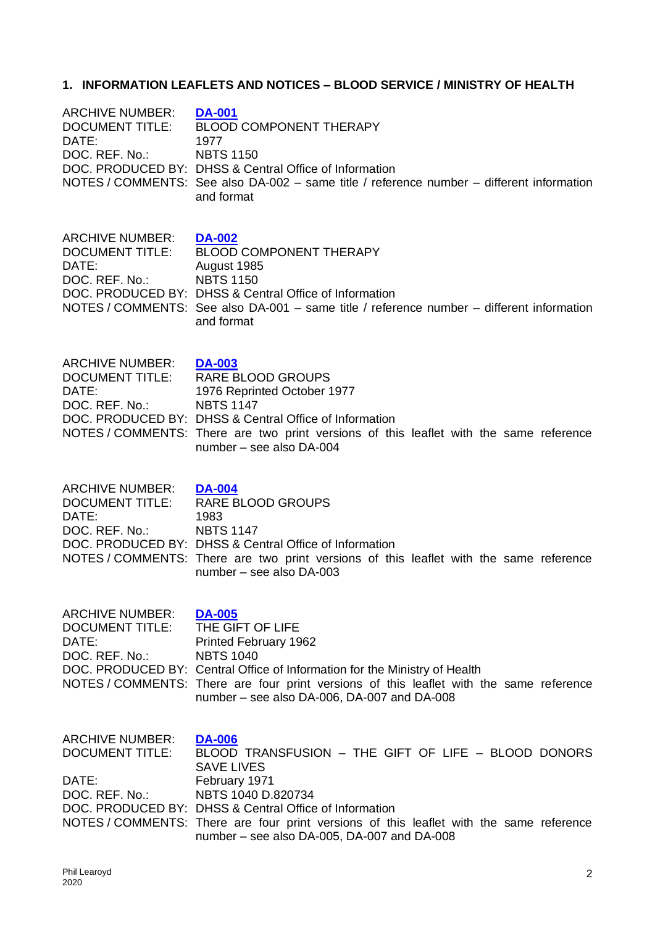# **1. INFORMATION LEAFLETS AND NOTICES – BLOOD SERVICE / MINISTRY OF HEALTH**

| ARCHIVE NUMBER:<br><b>DOCUMENT TITLE:</b><br>DATE:<br>DOC. REF. No.:        | <b>DA-001</b><br><b>BLOOD COMPONENT THERAPY</b><br>1977<br><b>NBTS 1150</b><br>DOC. PRODUCED BY: DHSS & Central Office of Information<br>NOTES / COMMENTS: See also DA-002 - same title / reference number - different information<br>and format                                                                                     |
|-----------------------------------------------------------------------------|--------------------------------------------------------------------------------------------------------------------------------------------------------------------------------------------------------------------------------------------------------------------------------------------------------------------------------------|
| ARCHIVE NUMBER:<br><b>DOCUMENT TITLE:</b><br>DATE:<br>DOC. REF. No.:        | <b>DA-002</b><br><b>BLOOD COMPONENT THERAPY</b><br>August 1985<br><b>NBTS 1150</b><br>DOC. PRODUCED BY: DHSS & Central Office of Information<br>NOTES / COMMENTS: See also DA-001 - same title / reference number - different information<br>and format                                                                              |
| ARCHIVE NUMBER: DA-003<br><b>DOCUMENT TITLE:</b><br>DATE:<br>DOC. REF. No.: | <b>RARE BLOOD GROUPS</b><br>1976 Reprinted October 1977<br><b>NBTS 1147</b><br>DOC. PRODUCED BY: DHSS & Central Office of Information<br>NOTES / COMMENTS: There are two print versions of this leaflet with the same reference<br>number - see also DA-004                                                                          |
| <b>ARCHIVE NUMBER:</b><br><b>DOCUMENT TITLE:</b><br>DATE:<br>DOC. REF. No.: | <b>DA-004</b><br><b>RARE BLOOD GROUPS</b><br>1983<br><b>NBTS 1147</b><br>DOC, PRODUCED BY: DHSS & Central Office of Information<br>NOTES/COMMENTS: There are two print versions of this leaflet with the same reference<br>number - see also DA-003                                                                                  |
| <b>ARCHIVE NUMBER:</b><br><b>DOCUMENT TITLE:</b><br>DATE:<br>DOC. REF. No.: | <b>DA-005</b><br>THE GIFT OF LIFE<br>Printed February 1962<br><b>NBTS 1040</b><br>DOC. PRODUCED BY: Central Office of Information for the Ministry of Health<br>NOTES/COMMENTS: There are four print versions of this leaflet with the same reference<br>number - see also DA-006, DA-007 and DA-008                                 |
| <b>ARCHIVE NUMBER:</b><br><b>DOCUMENT TITLE:</b><br>DATE:<br>DOC. REF. No.: | <b>DA-006</b><br>BLOOD TRANSFUSION - THE GIFT OF LIFE - BLOOD DONORS<br><b>SAVE LIVES</b><br>February 1971<br>NBTS 1040 D.820734<br>DOC. PRODUCED BY: DHSS & Central Office of Information<br>NOTES / COMMENTS: There are four print versions of this leaflet with the same reference<br>number - see also DA-005, DA-007 and DA-008 |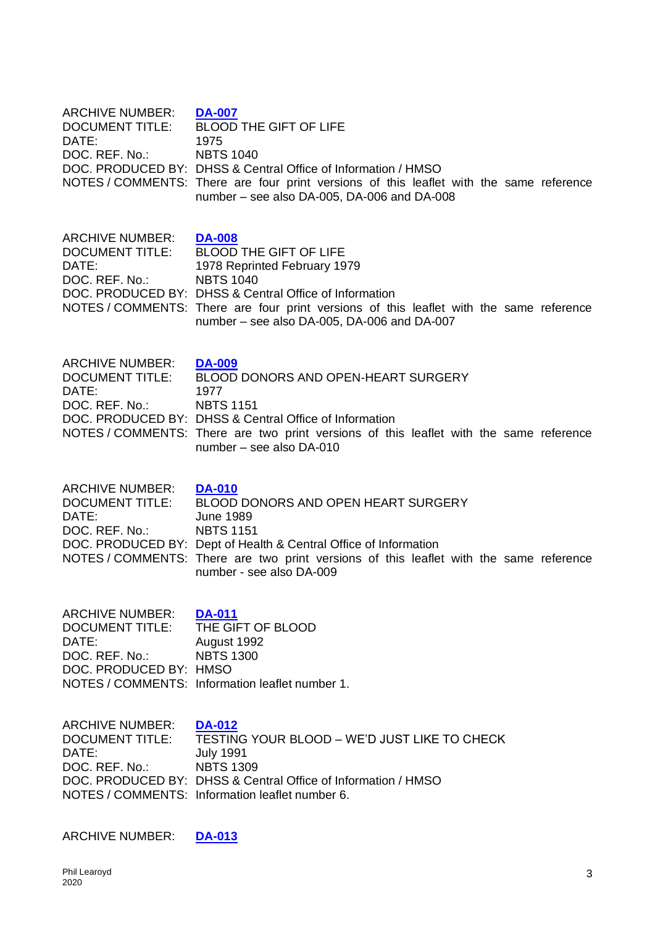| <b>ARCHIVE NUMBER:</b><br><b>DOCUMENT TITLE:</b><br>DATE:<br>DOC. REF. No.:                    | <b>DA-007</b><br><b>BLOOD THE GIFT OF LIFE</b><br>1975<br><b>NBTS 1040</b><br>DOC. PRODUCED BY: DHSS & Central Office of Information / HMSO<br>NOTES / COMMENTS: There are four print versions of this leaflet with the same reference<br>number - see also DA-005, DA-006 and DA-008                |
|------------------------------------------------------------------------------------------------|------------------------------------------------------------------------------------------------------------------------------------------------------------------------------------------------------------------------------------------------------------------------------------------------------|
| <b>ARCHIVE NUMBER:</b><br><b>DOCUMENT TITLE:</b><br>DATE:<br>DOC. REF. No.:                    | <b>DA-008</b><br><b>BLOOD THE GIFT OF LIFE</b><br>1978 Reprinted February 1979<br><b>NBTS 1040</b><br>DOC. PRODUCED BY: DHSS & Central Office of Information<br>NOTES/COMMENTS: There are four print versions of this leaflet with the same reference<br>number - see also DA-005, DA-006 and DA-007 |
| <b>ARCHIVE NUMBER:</b><br><b>DOCUMENT TITLE:</b><br>DATE:<br>DOC. REF. No.:                    | <b>DA-009</b><br>BLOOD DONORS AND OPEN-HEART SURGERY<br>1977<br><b>NBTS 1151</b><br>DOC, PRODUCED BY: DHSS & Central Office of Information<br>NOTES / COMMENTS: There are two print versions of this leaflet with the same reference<br>number - see also DA-010                                     |
| <b>ARCHIVE NUMBER:</b><br><b>DOCUMENT TITLE:</b><br>DATE:<br>DOC. REF. No.:                    | <b>DA-010</b><br>BLOOD DONORS AND OPEN HEART SURGERY<br><b>June 1989</b><br><b>NBTS 1151</b><br>DOC. PRODUCED BY: Dept of Health & Central Office of Information<br>NOTES / COMMENTS: There are two print versions of this leaflet with the same reference<br>number - see also DA-009               |
| ARCHIVE NUMBER:<br><b>DOCUMENT TITLE:</b><br>DATE:<br>DOC. REF. No.:<br>DOC. PRODUCED BY: HMSO | <b>DA-011</b><br>THE GIFT OF BLOOD<br>August 1992<br><b>NBTS 1300</b><br>NOTES / COMMENTS: Information leaflet number 1.                                                                                                                                                                             |
| <b>ARCHIVE NUMBER:</b><br><b>DOCUMENT TITLE:</b><br>DATE:<br>DOC. REF. No.:                    | <b>DA-012</b><br>TESTING YOUR BLOOD - WE'D JUST LIKE TO CHECK<br><b>July 1991</b><br><b>NBTS 1309</b><br>DOC. PRODUCED BY: DHSS & Central Office of Information / HMSO<br>NOTES / COMMENTS: Information leaflet number 6.                                                                            |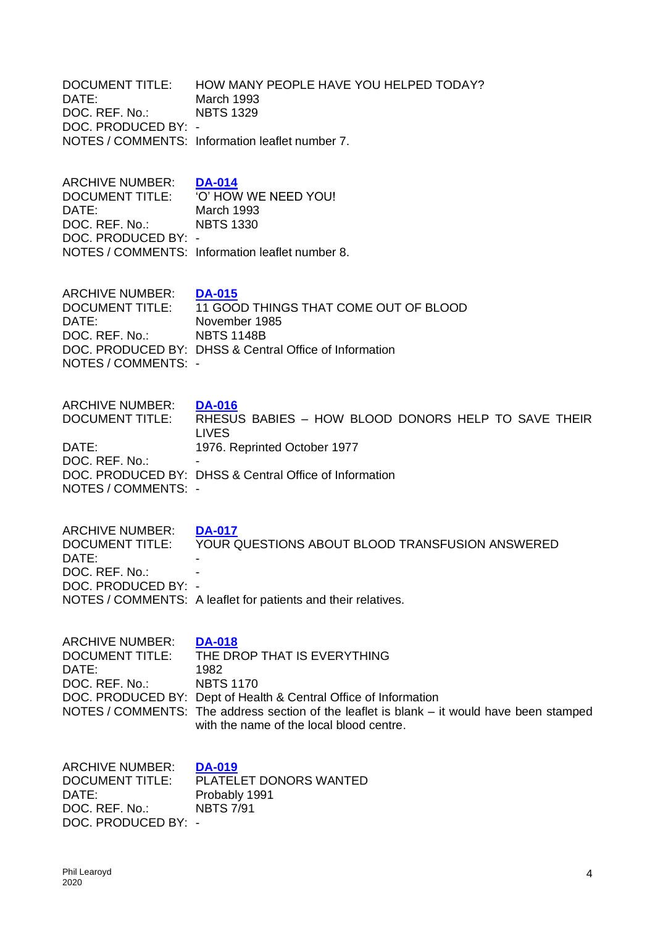| DATE:                                                                                              | March 1993                                                                                                                                                                                                                                                                             |
|----------------------------------------------------------------------------------------------------|----------------------------------------------------------------------------------------------------------------------------------------------------------------------------------------------------------------------------------------------------------------------------------------|
| DOC. REF. No.:                                                                                     | <b>NBTS 1329</b>                                                                                                                                                                                                                                                                       |
| DOC. PRODUCED BY: -                                                                                | NOTES / COMMENTS: Information leaflet number 7.                                                                                                                                                                                                                                        |
| ARCHIVE NUMBER:                                                                                    | <b>DA-014</b>                                                                                                                                                                                                                                                                          |
| <b>DOCUMENT TITLE:</b>                                                                             | 'O' HOW WE NEED YOU!                                                                                                                                                                                                                                                                   |
| DATE:                                                                                              | March 1993                                                                                                                                                                                                                                                                             |
| DOC. REF. No.:                                                                                     | <b>NBTS 1330</b>                                                                                                                                                                                                                                                                       |
| DOC. PRODUCED BY: -                                                                                | NOTES / COMMENTS: Information leaflet number 8.                                                                                                                                                                                                                                        |
| <b>ARCHIVE NUMBER:</b>                                                                             | <b>DA-015</b>                                                                                                                                                                                                                                                                          |
| <b>DOCUMENT TITLE:</b>                                                                             | 11 GOOD THINGS THAT COME OUT OF BLOOD                                                                                                                                                                                                                                                  |
| DATE:                                                                                              | November 1985                                                                                                                                                                                                                                                                          |
| DOC. REF. No.:                                                                                     | <b>NBTS 1148B</b>                                                                                                                                                                                                                                                                      |
| NOTES / COMMENTS: -                                                                                | DOC. PRODUCED BY: DHSS & Central Office of Information                                                                                                                                                                                                                                 |
| <b>ARCHIVE NUMBER:</b>                                                                             | <b>DA-016</b>                                                                                                                                                                                                                                                                          |
| <b>DOCUMENT TITLE:</b>                                                                             | RHESUS BABIES - HOW BLOOD DONORS HELP TO SAVE THEIR                                                                                                                                                                                                                                    |
| DATE:                                                                                              | <b>LIVES</b>                                                                                                                                                                                                                                                                           |
| DOC. REF. No.:                                                                                     | 1976. Reprinted October 1977                                                                                                                                                                                                                                                           |
| NOTES / COMMENTS: -                                                                                | DOC. PRODUCED BY: DHSS & Central Office of Information                                                                                                                                                                                                                                 |
| <b>ARCHIVE NUMBER:</b><br><b>DOCUMENT TITLE:</b><br>DATE:<br>DOC. REF. No.:<br>DOC. PRODUCED BY: - | <b>DA-017</b><br>YOUR QUESTIONS ABOUT BLOOD TRANSFUSION ANSWERED<br>NOTES / COMMENTS: A leaflet for patients and their relatives.                                                                                                                                                      |
| ARCHIVE NUMBER:<br><b>DOCUMENT TITLE:</b><br>DATE:<br>DOC. REF. No.:                               | <b>DA-018</b><br>THE DROP THAT IS EVERYTHING<br>1982<br><b>NBTS 1170</b><br>DOC. PRODUCED BY: Dept of Health & Central Office of Information<br>NOTES / COMMENTS: The address section of the leaflet is blank – it would have been stamped<br>with the name of the local blood centre. |
|                                                                                                    |                                                                                                                                                                                                                                                                                        |

DOCUMENT TITLE: HOW MANY PEOPLE HAVE YOU HELPED TODAY?

ARCHIVE NUMBER: **[DA-019](https://0d66353c-bff7-45fe-afa9-096c14d0e52b.filesusr.com/ugd/9e7bfc_e05cd0a1fda74ed39f7ab3b83cf268c3.pdf)** PLATELET DONORS WANTED DATE:<br>DOC. REF. No.: Probably 1991 DOC. REF. No.: DOC. PRODUCED BY: -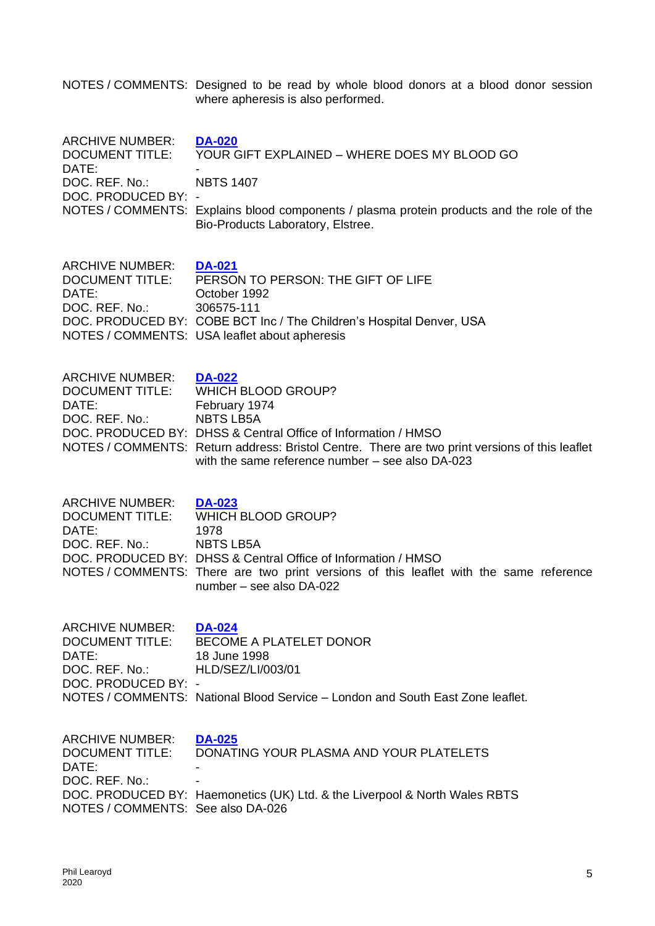NOTES / COMMENTS: Designed to be read by whole blood donors at a blood donor session where apheresis is also performed.

| <b>ARCHIVE NUMBER:</b><br><b>DOCUMENT TITLE:</b><br>DATE:<br>DOC. REF. No.:<br>DOC. PRODUCED BY: -               | <b>DA-020</b><br>YOUR GIFT EXPLAINED - WHERE DOES MY BLOOD GO<br><b>NBTS 1407</b><br>NOTES / COMMENTS: Explains blood components / plasma protein products and the role of the<br>Bio-Products Laboratory, Elstree.                                                                             |
|------------------------------------------------------------------------------------------------------------------|-------------------------------------------------------------------------------------------------------------------------------------------------------------------------------------------------------------------------------------------------------------------------------------------------|
| <b>ARCHIVE NUMBER:</b><br><b>DOCUMENT TITLE:</b><br>DATE:<br>DOC. REF. No.:                                      | <b>DA-021</b><br>PERSON TO PERSON: THE GIFT OF LIFE<br>October 1992<br>306575-111<br>DOC. PRODUCED BY: COBE BCT Inc / The Children's Hospital Denver, USA<br>NOTES / COMMENTS: USA leaflet about apheresis                                                                                      |
| <b>ARCHIVE NUMBER:</b><br><b>DOCUMENT TITLE:</b><br>DATE:<br>DOC. REF. No.:                                      | <b>DA-022</b><br>WHICH BLOOD GROUP?<br>February 1974<br><b>NBTS LB5A</b><br>DOC. PRODUCED BY: DHSS & Central Office of Information / HMSO<br>NOTES / COMMENTS: Return address: Bristol Centre. There are two print versions of this leaflet<br>with the same reference number – see also DA-023 |
| <b>ARCHIVE NUMBER:</b><br><b>DOCUMENT TITLE:</b><br>DATE:<br>DOC. REF. No.:                                      | <b>DA-023</b><br>WHICH BLOOD GROUP?<br>1978<br><b>NBTS LB5A</b><br>DOC. PRODUCED BY: DHSS & Central Office of Information / HMSO<br>NOTES / COMMENTS: There are two print versions of this leaflet with the same reference<br>number - see also DA-022                                          |
| <b>ARCHIVE NUMBER:</b><br>DATE:<br>DOC. REF. No.:<br>DOC. PRODUCED BY: -                                         | <b>DA-024</b><br>DOCUMENT TITLE: BECOME A PLATELET DONOR<br>18 June 1998<br>HLD/SEZ/LI/003/01<br>NOTES / COMMENTS: National Blood Service - London and South East Zone leaflet.                                                                                                                 |
| <b>ARCHIVE NUMBER:</b><br><b>DOCUMENT TITLE:</b><br>DATE:<br>DOC. REF. No.:<br>NOTES / COMMENTS: See also DA-026 | <b>DA-025</b><br>DONATING YOUR PLASMA AND YOUR PLATELETS<br>DOC. PRODUCED BY: Haemonetics (UK) Ltd. & the Liverpool & North Wales RBTS                                                                                                                                                          |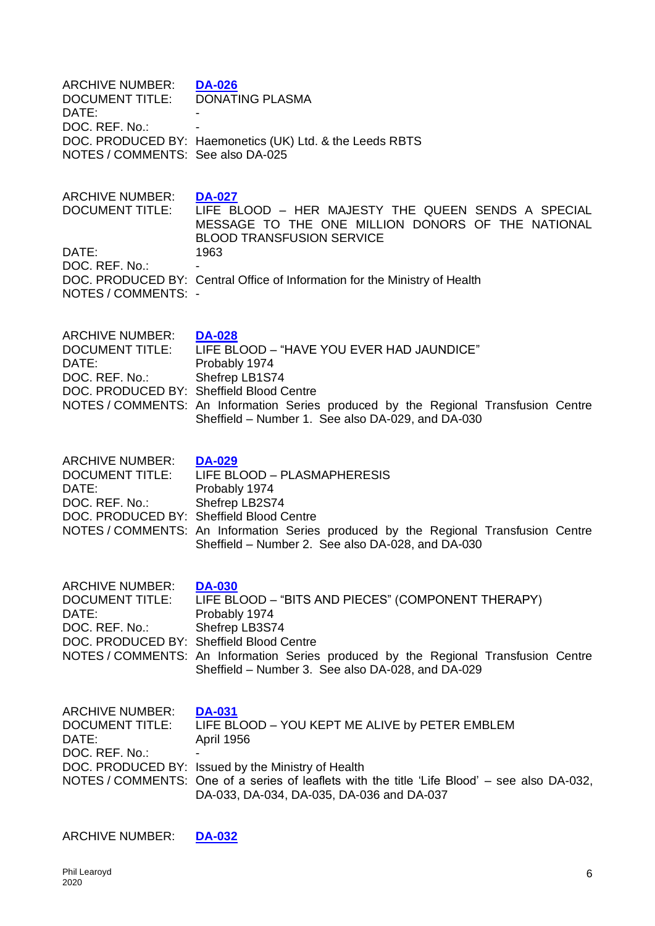| <b>ARCHIVE NUMBER:</b><br><b>DOCUMENT TITLE:</b><br>DATE:<br>DOC. REF. No.:<br>NOTES / COMMENTS: See also DA-025        | <b>DA-026</b><br><b>DONATING PLASMA</b><br>DOC. PRODUCED BY: Haemonetics (UK) Ltd. & the Leeds RBTS                                                                                                                                                                                     |
|-------------------------------------------------------------------------------------------------------------------------|-----------------------------------------------------------------------------------------------------------------------------------------------------------------------------------------------------------------------------------------------------------------------------------------|
| <b>ARCHIVE NUMBER:</b><br><b>DOCUMENT TITLE:</b><br>DATE:<br>DOC. REF. No.:<br>NOTES / COMMENTS: -                      | <b>DA-027</b><br>LIFE BLOOD - HER MAJESTY THE QUEEN SENDS A SPECIAL<br>MESSAGE TO THE ONE MILLION DONORS OF THE NATIONAL<br><b>BLOOD TRANSFUSION SERVICE</b><br>1963<br>DOC. PRODUCED BY: Central Office of Information for the Ministry of Health                                      |
| ARCHIVE NUMBER:<br><b>DOCUMENT TITLE:</b><br>DATE:<br>DOC. REF. No.:<br>DOC. PRODUCED BY: Sheffield Blood Centre        | <b>DA-028</b><br>LIFE BLOOD - "HAVE YOU EVER HAD JAUNDICE"<br>Probably 1974<br>Shefrep LB1S74<br>NOTES / COMMENTS: An Information Series produced by the Regional Transfusion Centre<br>Sheffield - Number 1. See also DA-029, and DA-030                                               |
| <b>ARCHIVE NUMBER:</b><br><b>DOCUMENT TITLE:</b><br>DATE:<br>DOC. REF. No.:<br>DOC. PRODUCED BY: Sheffield Blood Centre | <b>DA-029</b><br>LIFE BLOOD - PLASMAPHERESIS<br>Probably 1974<br>Shefrep LB2S74<br>NOTES / COMMENTS: An Information Series produced by the Regional Transfusion Centre<br>Sheffield - Number 2. See also DA-028, and DA-030                                                             |
| <b>ARCHIVE NUMBER:</b><br><b>DOCUMENT TITLE:</b><br>DATE:<br>DOC. REF. No.:<br>DOC. PRODUCED BY: Sheffield Blood Centre | <b>DA-030</b><br>LIFE BLOOD - "BITS AND PIECES" (COMPONENT THERAPY)<br>Probably 1974<br>Shefrep LB3S74<br>NOTES / COMMENTS: An Information Series produced by the Regional Transfusion Centre<br>Sheffield - Number 3. See also DA-028, and DA-029                                      |
| <b>ARCHIVE NUMBER:</b><br><b>DOCUMENT TITLE:</b><br>DATE:<br>DOC. REF. No.:                                             | <b>DA-031</b><br>LIFE BLOOD - YOU KEPT ME ALIVE by PETER EMBLEM<br><b>April 1956</b><br>DOC. PRODUCED BY: Issued by the Ministry of Health<br>NOTES / COMMENTS: One of a series of leaflets with the title 'Life Blood' - see also DA-032,<br>DA-033, DA-034, DA-035, DA-036 and DA-037 |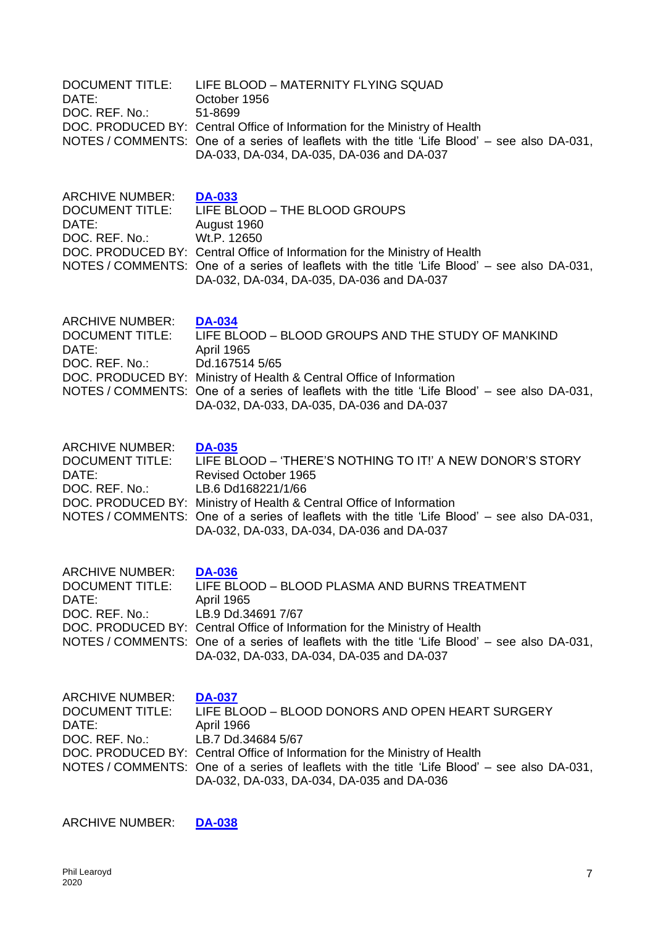| <b>DOCUMENT TITLE:</b><br>DATE:<br>DOC. REF. No.:                           | LIFE BLOOD - MATERNITY FLYING SQUAD<br>October 1956<br>51-8699<br>DOC. PRODUCED BY: Central Office of Information for the Ministry of Health<br>NOTES / COMMENTS: One of a series of leaflets with the title 'Life Blood' – see also DA-031,<br>DA-033, DA-034, DA-035, DA-036 and DA-037                                                            |
|-----------------------------------------------------------------------------|------------------------------------------------------------------------------------------------------------------------------------------------------------------------------------------------------------------------------------------------------------------------------------------------------------------------------------------------------|
| <b>ARCHIVE NUMBER:</b><br><b>DOCUMENT TITLE:</b><br>DATE:<br>DOC. REF. No.: | <b>DA-033</b><br>LIFE BLOOD - THE BLOOD GROUPS<br>August 1960<br>Wt.P. 12650<br>DOC. PRODUCED BY: Central Office of Information for the Ministry of Health<br>NOTES / COMMENTS: One of a series of leaflets with the title 'Life Blood' – see also DA-031,<br>DA-032, DA-034, DA-035, DA-036 and DA-037                                              |
| <b>ARCHIVE NUMBER:</b><br><b>DOCUMENT TITLE:</b><br>DATE:<br>DOC. REF. No.: | <b>DA-034</b><br>LIFE BLOOD - BLOOD GROUPS AND THE STUDY OF MANKIND<br>April 1965<br>Dd.167514 5/65<br>DOC. PRODUCED BY: Ministry of Health & Central Office of Information<br>NOTES / COMMENTS: One of a series of leaflets with the title 'Life Blood' – see also DA-031,<br>DA-032, DA-033, DA-035, DA-036 and DA-037                             |
| <b>ARCHIVE NUMBER:</b><br><b>DOCUMENT TITLE:</b><br>DATE:<br>DOC. REF. No.: | <b>DA-035</b><br>LIFE BLOOD - 'THERE'S NOTHING TO IT!' A NEW DONOR'S STORY<br><b>Revised October 1965</b><br>LB.6 Dd168221/1/66<br>DOC. PRODUCED BY: Ministry of Health & Central Office of Information<br>NOTES / COMMENTS: One of a series of leaflets with the title 'Life Blood' – see also DA-031,<br>DA-032, DA-033, DA-034, DA-036 and DA-037 |
| <b>ARCHIVE NUMBER:</b><br><b>DOCUMENT TITLE:</b><br>DATE:<br>DOC. REF. No.: | <b>DA-036</b><br>LIFE BLOOD - BLOOD PLASMA AND BURNS TREATMENT<br>April 1965<br>LB.9 Dd.34691 7/67<br>DOC. PRODUCED BY: Central Office of Information for the Ministry of Health<br>NOTES / COMMENTS: One of a series of leaflets with the title 'Life Blood' – see also DA-031,<br>DA-032, DA-033, DA-034, DA-035 and DA-037                        |
| <b>ARCHIVE NUMBER:</b><br><b>DOCUMENT TITLE:</b><br>DATE:<br>DOC. REF. No.: | <b>DA-037</b><br>LIFE BLOOD - BLOOD DONORS AND OPEN HEART SURGERY<br>April 1966<br>LB.7 Dd.34684 5/67<br>DOC. PRODUCED BY: Central Office of Information for the Ministry of Health<br>NOTES / COMMENTS: One of a series of leaflets with the title 'Life Blood' – see also DA-031,<br>DA-032, DA-033, DA-034, DA-035 and DA-036                     |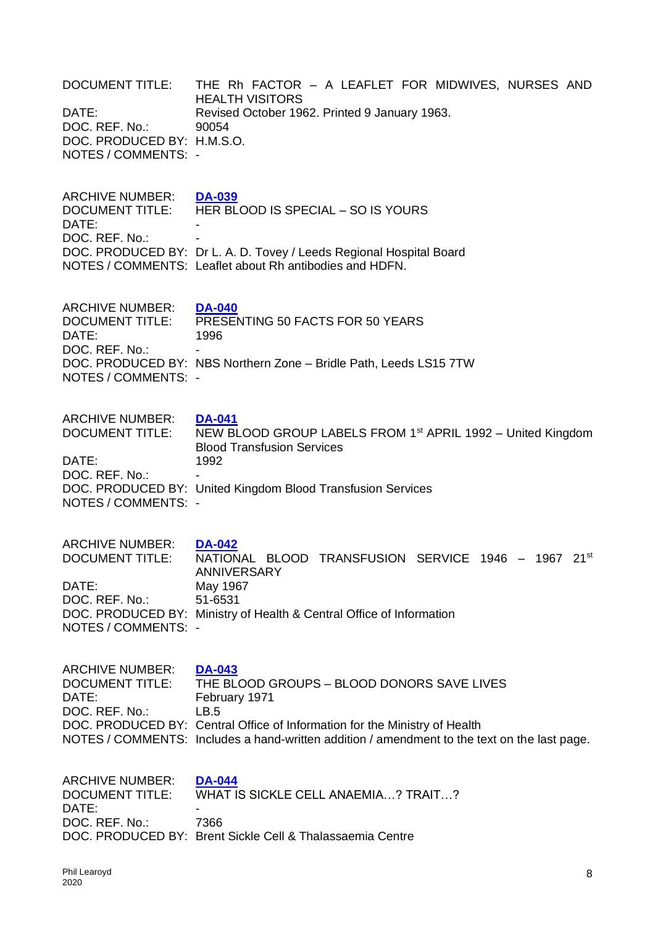| <b>DOCUMENT TITLE:</b><br>DATE:<br>DOC. REF. No.:<br>DOC. PRODUCED BY: H.M.S.O.<br>NOTES / COMMENTS: - | THE Rh FACTOR - A LEAFLET FOR MIDWIVES, NURSES AND<br><b>HEALTH VISITORS</b><br>Revised October 1962. Printed 9 January 1963.<br>90054                                                                                                                             |
|--------------------------------------------------------------------------------------------------------|--------------------------------------------------------------------------------------------------------------------------------------------------------------------------------------------------------------------------------------------------------------------|
| <b>ARCHIVE NUMBER:</b><br><b>DOCUMENT TITLE:</b><br>DATE:<br>DOC. REF. No.:                            | <b>DA-039</b><br>HER BLOOD IS SPECIAL - SO IS YOURS<br>DOC. PRODUCED BY: Dr L. A. D. Tovey / Leeds Regional Hospital Board<br>NOTES / COMMENTS: Leaflet about Rh antibodies and HDFN.                                                                              |
| <b>ARCHIVE NUMBER:</b><br><b>DOCUMENT TITLE:</b><br>DATE:<br>DOC. REF. No.:<br>NOTES / COMMENTS: -     | <b>DA-040</b><br>PRESENTING 50 FACTS FOR 50 YEARS<br>1996<br>DOC. PRODUCED BY: NBS Northern Zone - Bridle Path, Leeds LS15 7TW                                                                                                                                     |
| <b>ARCHIVE NUMBER:</b><br>DATE:<br>DOC. REF. No.:<br>NOTES / COMMENTS: -                               | <b>DA-041</b><br>DOCUMENT TITLE: NEW BLOOD GROUP LABELS FROM 1 <sup>st</sup> APRIL 1992 – United Kingdom<br><b>Blood Transfusion Services</b><br>1992<br>DOC. PRODUCED BY: United Kingdom Blood Transfusion Services                                               |
| <b>ARCHIVE NUMBER:</b><br><b>DOCUMENT TITLE:</b><br>DATE:<br>DOC. REF. No.:<br>NOTES / COMMENTS: -     | <b>DA-042</b><br>NATIONAL BLOOD TRANSFUSION SERVICE 1946 - 1967 21st<br><b>ANNIVERSARY</b><br>May 1967<br>51-6531<br>DOC. PRODUCED BY: Ministry of Health & Central Office of Information                                                                          |
| <b>ARCHIVE NUMBER:</b><br>DOCUMENT TITLE:<br>DATE:<br>DOC. REF. No.:                                   | <b>DA-043</b><br>THE BLOOD GROUPS - BLOOD DONORS SAVE LIVES<br>February 1971<br>LB.5<br>DOC. PRODUCED BY: Central Office of Information for the Ministry of Health<br>NOTES / COMMENTS: Includes a hand-written addition / amendment to the text on the last page. |
| <b>ARCHIVE NUMBER:</b><br><b>DOCUMENT TITLE:</b><br>DATE:<br>DOC. REF. No.:                            | <b>DA-044</b><br>WHAT IS SICKLE CELL ANAEMIA? TRAIT?<br>7366<br>DOC. PRODUCED BY: Brent Sickle Cell & Thalassaemia Centre                                                                                                                                          |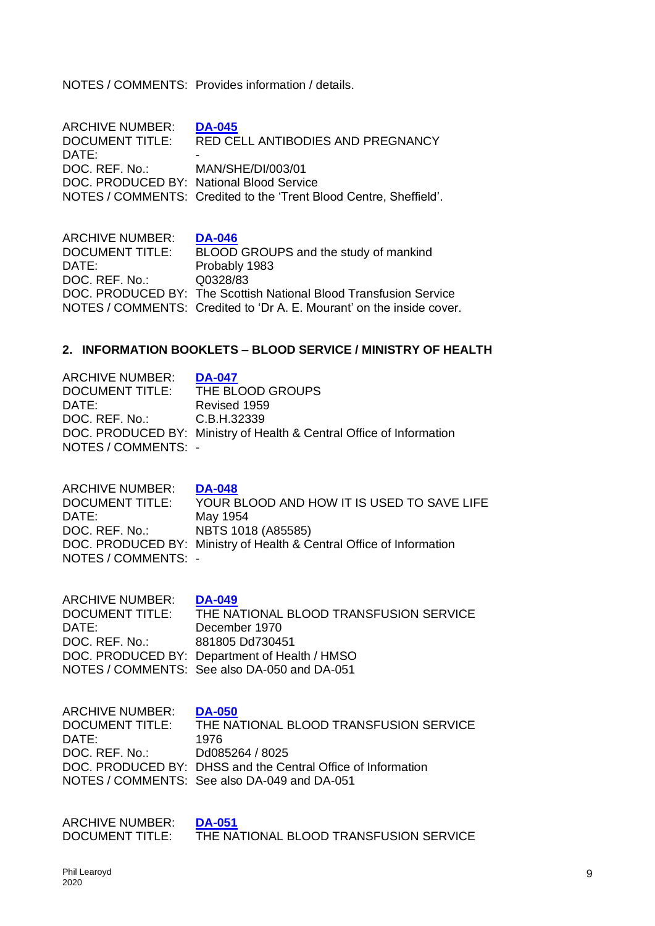NOTES / COMMENTS: Provides information / details.

| <b>ARCHIVE NUMBER:</b>                   | <b>DA-045</b>                                                      |
|------------------------------------------|--------------------------------------------------------------------|
| <b>DOCUMENT TITLE:</b>                   | RED CELL ANTIBODIES AND PREGNANCY                                  |
| DATE:                                    |                                                                    |
| DOC, REF. No.: MAN/SHE/DI/003/01         |                                                                    |
| DOC. PRODUCED BY: National Blood Service |                                                                    |
|                                          | NOTES / COMMENTS: Credited to the 'Trent Blood Centre, Sheffield'. |
|                                          |                                                                    |

ARCHIVE NUMBER: **[DA-046](https://0d66353c-bff7-45fe-afa9-096c14d0e52b.filesusr.com/ugd/9e7bfc_edefcf88040442ab8a4dfcf16d7b5427.pdf)** DOCUMENT TITLE: BLOOD GROUPS and the study of mankind DATE: Probably 1983 DOC. REF. No.: Q0328/83 DOC. PRODUCED BY: The Scottish National Blood Transfusion Service NOTES / COMMENTS: Credited to 'Dr A. E. Mourant' on the inside cover.

#### **2. INFORMATION BOOKLETS – BLOOD SERVICE / MINISTRY OF HEALTH**

| <b>ARCHIVE NUMBER:</b>     | <b>DA-047</b>                                                        |
|----------------------------|----------------------------------------------------------------------|
| <b>DOCUMENT TITLE:</b>     | THE BLOOD GROUPS                                                     |
| DATE:                      | Revised 1959                                                         |
| DOC. REF. No.: C.B.H.32339 |                                                                      |
|                            | DOC. PRODUCED BY: Ministry of Health & Central Office of Information |
| NOTES / COMMENTS: -        |                                                                      |

ARCHIVE NUMBER: **[DA-048](https://0d66353c-bff7-45fe-afa9-096c14d0e52b.filesusr.com/ugd/9e7bfc_fc9b91bc4f034d41b7cc69927f781b43.pdf)** DOCUMENT TITLE: YOUR BLOOD AND HOW IT IS USED TO SAVE LIFE DATE: May 1954 DOC. REF. No.: NBTS 1018 (A85585) DOC. PRODUCED BY: Ministry of Health & Central Office of Information NOTES / COMMENTS: -

ARCHIVE NUMBER: **[DA-049](https://0d66353c-bff7-45fe-afa9-096c14d0e52b.filesusr.com/ugd/9e7bfc_6cea55d7b0b84b8289129165700839da.pdf)** DOCUMENT TITLE: THE NATIONAL BLOOD TRANSFUSION SERVICE DATE: December 1970 DOC. REF. No.: 881805 Dd730451 DOC. PRODUCED BY: Department of Health / HMSO NOTES / COMMENTS: See also DA-050 and DA-051

ARCHIVE NUMBER: **[DA-050](https://0d66353c-bff7-45fe-afa9-096c14d0e52b.filesusr.com/ugd/9e7bfc_e650c1b1c6904401bb634c3113d4530b.pdf)** DOCUMENT TITLE: THE NATIONAL BLOOD TRANSFUSION SERVICE DATE: 1976 DOC. REF. No.: Dd085264 / 8025 DOC. PRODUCED BY: DHSS and the Central Office of Information NOTES / COMMENTS: See also DA-049 and DA-051

ARCHIVE NUMBER: **[DA-051](https://0d66353c-bff7-45fe-afa9-096c14d0e52b.filesusr.com/ugd/9e7bfc_d65f401b538845d3a7616ca9087b735a.pdf)** DOCUMENT TITLE: THE NATIONAL BLOOD TRANSFUSION SERVICE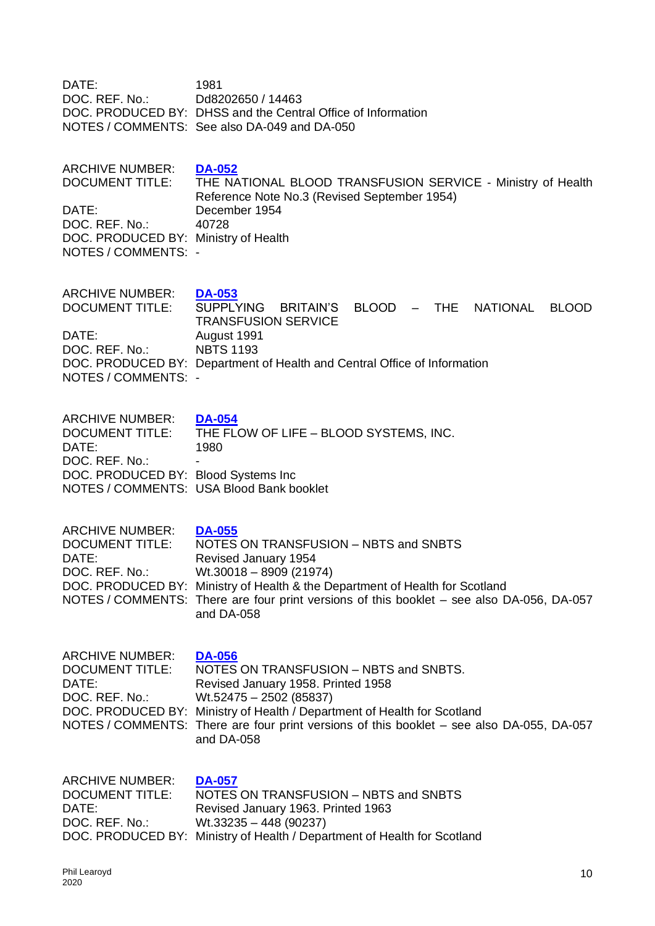| DATE:<br>DOC. REF. No.:                                                                                          | 1981<br>Dd8202650 / 14463<br>DOC. PRODUCED BY: DHSS and the Central Office of Information<br>NOTES / COMMENTS: See also DA-049 and DA-050                                                                                                                                                                         |
|------------------------------------------------------------------------------------------------------------------|-------------------------------------------------------------------------------------------------------------------------------------------------------------------------------------------------------------------------------------------------------------------------------------------------------------------|
| <b>ARCHIVE NUMBER:</b><br>DATE:<br>DOC. REF. No.:<br>DOC. PRODUCED BY: Ministry of Health<br>NOTES / COMMENTS: - | <b>DA-052</b><br>DOCUMENT TITLE: THE NATIONAL BLOOD TRANSFUSION SERVICE - Ministry of Health<br>Reference Note No.3 (Revised September 1954)<br>December 1954<br>40728                                                                                                                                            |
| <b>ARCHIVE NUMBER:</b><br><b>DOCUMENT TITLE:</b><br>DATE:<br>DOC. REF. No.:<br>NOTES / COMMENTS: -               | <b>DA-053</b><br><b>SUPPLYING</b><br>BRITAIN'S BLOOD - THE<br><b>NATIONAL</b><br><b>BLOOD</b><br><b>TRANSFUSION SERVICE</b><br>August 1991<br><b>NBTS 1193</b><br>DOC. PRODUCED BY: Department of Health and Central Office of Information                                                                        |
| <b>ARCHIVE NUMBER:</b><br>DATE:<br>DOC. REF. No.:<br>DOC. PRODUCED BY: Blood Systems Inc                         | <b>DA-054</b><br>DOCUMENT TITLE: THE FLOW OF LIFE - BLOOD SYSTEMS, INC.<br>1980<br>NOTES / COMMENTS: USA Blood Bank booklet                                                                                                                                                                                       |
| <b>ARCHIVE NUMBER:</b><br><b>DOCUMENT TITLE:</b><br>DATE:<br>DOC. REF. No.:                                      | <b>DA-055</b><br>NOTES ON TRANSFUSION - NBTS and SNBTS<br>Revised January 1954<br>$Wt.30018 - 8909(21974)$<br>DOC. PRODUCED BY: Ministry of Health & the Department of Health for Scotland<br>NOTES / COMMENTS: There are four print versions of this booklet – see also DA-056, DA-057<br>and DA-058             |
| <b>ARCHIVE NUMBER:</b><br><b>DOCUMENT TITLE:</b><br>DATE:<br>DOC. REF. No.:                                      | <b>DA-056</b><br>NOTES ON TRANSFUSION - NBTS and SNBTS.<br>Revised January 1958. Printed 1958<br>$Wt.52475 - 2502$ (85837)<br>DOC. PRODUCED BY: Ministry of Health / Department of Health for Scotland<br>NOTES / COMMENTS: There are four print versions of this booklet – see also DA-055, DA-057<br>and DA-058 |
| <b>ARCHIVE NUMBER:</b><br><b>DOCUMENT TITLE:</b><br>DATE:<br>DOC. REF. No.:                                      | <b>DA-057</b><br>NOTES ON TRANSFUSION - NBTS and SNBTS<br>Revised January 1963. Printed 1963<br>$Wt.33235 - 448 (90237)$<br>DOC. PRODUCED BY: Ministry of Health / Department of Health for Scotland                                                                                                              |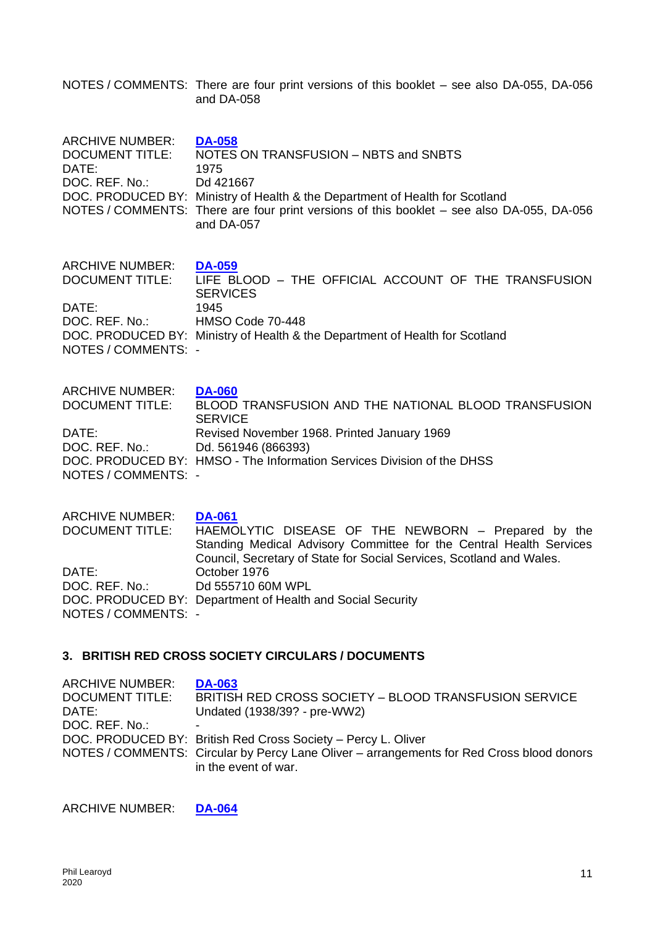NOTES / COMMENTS: There are four print versions of this booklet – see also DA-055, DA-056 and DA-058

| <b>ARCHIVE NUMBER:</b><br><b>DOCUMENT TITLE:</b><br>DATE:<br>DOC. REF. No.: | <b>DA-058</b><br>NOTES ON TRANSFUSION - NBTS and SNBTS<br>1975<br>Dd 421667<br>DOC. PRODUCED BY: Ministry of Health & the Department of Health for Scotland<br>NOTES / COMMENTS: There are four print versions of this booklet – see also DA-055, DA-056<br>and DA-057 |
|-----------------------------------------------------------------------------|------------------------------------------------------------------------------------------------------------------------------------------------------------------------------------------------------------------------------------------------------------------------|
| <b>ARCHIVE NUMBER:</b><br>DATE:<br>DOC. REF. No.:<br>NOTES / COMMENTS: -    | <b>DA-059</b><br>DOCUMENT TITLE: LIFE BLOOD - THE OFFICIAL ACCOUNT OF THE TRANSFUSION<br><b>SERVICES</b><br>1945<br>HMSO Code 70-448<br>DOC. PRODUCED BY: Ministry of Health & the Department of Health for Scotland                                                   |
| <b>ARCHIVE NUMBER:</b>                                                      | <b>DA-060</b>                                                                                                                                                                                                                                                          |
| <b>DOCUMENT TITLE:</b>                                                      | BLOOD TRANSFUSION AND THE NATIONAL BLOOD TRANSFUSION                                                                                                                                                                                                                   |
| DATE:                                                                       | <b>SERVICE</b>                                                                                                                                                                                                                                                         |
| DOC. REF. No.: Dd. 561946 (866393)                                          | Revised November 1968. Printed January 1969                                                                                                                                                                                                                            |
| NOTES / COMMENTS: -                                                         | DOC. PRODUCED BY: HMSO - The Information Services Division of the DHSS                                                                                                                                                                                                 |
| <b>ARCHIVE NUMBER:</b>                                                      | <b>DA-061</b>                                                                                                                                                                                                                                                          |
| DOCUMENT TITLE.                                                             | HAFMOLYTIC DISFASE OF THE NEWBORN $-$ Prepared by the                                                                                                                                                                                                                  |

DOCUMENT TITLE: HAEMOLYTIC DISEASE OF THE NEWBORN – Prepared by the Standing Medical Advisory Committee for the Central Health Services Council, Secretary of State for Social Services, Scotland and Wales. DATE: October 1976 DOC. REF. No.: Dd 555710 60M WPL DOC. PRODUCED BY: Department of Health and Social Security NOTES / COMMENTS: -

### **3. BRITISH RED CROSS SOCIETY CIRCULARS / DOCUMENTS**

| <b>ARCHIVE NUMBER:</b><br><b>DOCUMENT TITLE:</b> | <b>DA-063</b><br><b>BRITISH RED CROSS SOCIETY - BLOOD TRANSFUSION SERVICE</b>                                     |
|--------------------------------------------------|-------------------------------------------------------------------------------------------------------------------|
| DATE:                                            | Undated (1938/39? - pre-WW2)                                                                                      |
| DOC. REF. No.:                                   |                                                                                                                   |
|                                                  | DOC. PRODUCED BY: British Red Cross Society - Percy L. Oliver                                                     |
|                                                  | NOTES / COMMENTS: Circular by Percy Lane Oliver – arrangements for Red Cross blood donors<br>in the event of war. |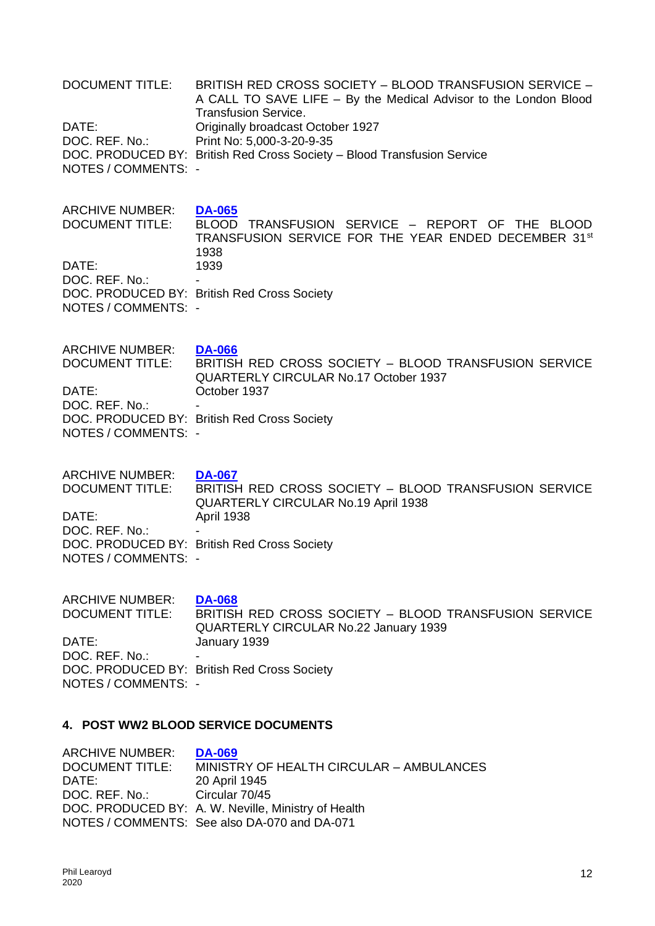| <b>DOCUMENT TITLE:</b><br>DATE:<br>DOC. REF. No.:<br>NOTES / COMMENTS: -                           | BRITISH RED CROSS SOCIETY - BLOOD TRANSFUSION SERVICE -<br>A CALL TO SAVE LIFE - By the Medical Advisor to the London Blood<br><b>Transfusion Service.</b><br>Originally broadcast October 1927<br>Print No: 5,000-3-20-9-35<br>DOC. PRODUCED BY: British Red Cross Society - Blood Transfusion Service |
|----------------------------------------------------------------------------------------------------|---------------------------------------------------------------------------------------------------------------------------------------------------------------------------------------------------------------------------------------------------------------------------------------------------------|
| <b>ARCHIVE NUMBER:</b><br><b>DOCUMENT TITLE:</b><br>DATE:<br>DOC. REF. No.:<br>NOTES / COMMENTS: - | <b>DA-065</b><br>BLOOD TRANSFUSION SERVICE - REPORT OF THE<br>BLOOD<br>TRANSFUSION SERVICE FOR THE YEAR ENDED DECEMBER 31st<br>1938<br>1939<br>DOC. PRODUCED BY: British Red Cross Society                                                                                                              |
| <b>ARCHIVE NUMBER:</b>                                                                             | <b>DA-066</b>                                                                                                                                                                                                                                                                                           |
| <b>DOCUMENT TITLE:</b>                                                                             | BRITISH RED CROSS SOCIETY - BLOOD TRANSFUSION SERVICE                                                                                                                                                                                                                                                   |
| DATE:                                                                                              | QUARTERLY CIRCULAR No.17 October 1937                                                                                                                                                                                                                                                                   |
| DOC. REF. No.:                                                                                     | October 1937                                                                                                                                                                                                                                                                                            |
| NOTES / COMMENTS: -                                                                                | DOC. PRODUCED BY: British Red Cross Society                                                                                                                                                                                                                                                             |
| <b>ARCHIVE NUMBER:</b>                                                                             | <b>DA-067</b>                                                                                                                                                                                                                                                                                           |
| <b>DOCUMENT TITLE:</b>                                                                             | BRITISH RED CROSS SOCIETY - BLOOD TRANSFUSION SERVICE                                                                                                                                                                                                                                                   |
| DATE:                                                                                              | <b>QUARTERLY CIRCULAR No.19 April 1938</b>                                                                                                                                                                                                                                                              |
| DOC. REF. No.:                                                                                     | <b>April 1938</b>                                                                                                                                                                                                                                                                                       |
| NOTES / COMMENTS: -                                                                                | DOC. PRODUCED BY: British Red Cross Society                                                                                                                                                                                                                                                             |
| <b>ARCHIVE NUMBER:</b>                                                                             | <b>DA-068</b>                                                                                                                                                                                                                                                                                           |
| <b>DOCUMENT TITLE:</b>                                                                             | BRITISH RED CROSS SOCIETY - BLOOD TRANSFUSION SERVICE                                                                                                                                                                                                                                                   |
| DATE:                                                                                              | QUARTERLY CIRCULAR No.22 January 1939                                                                                                                                                                                                                                                                   |
| DOC. REF. No.:                                                                                     | January 1939                                                                                                                                                                                                                                                                                            |
| NOTES / COMMENTS: -                                                                                | DOC. PRODUCED BY: British Red Cross Society                                                                                                                                                                                                                                                             |

## **4. POST WW2 BLOOD SERVICE DOCUMENTS**

| <b>DA-069</b>                                       |
|-----------------------------------------------------|
| MINISTRY OF HEALTH CIRCULAR - AMBULANCES            |
| 20 April 1945                                       |
| Circular 70/45                                      |
| DOC. PRODUCED BY: A. W. Neville, Ministry of Health |
| NOTES / COMMENTS: See also DA-070 and DA-071        |
|                                                     |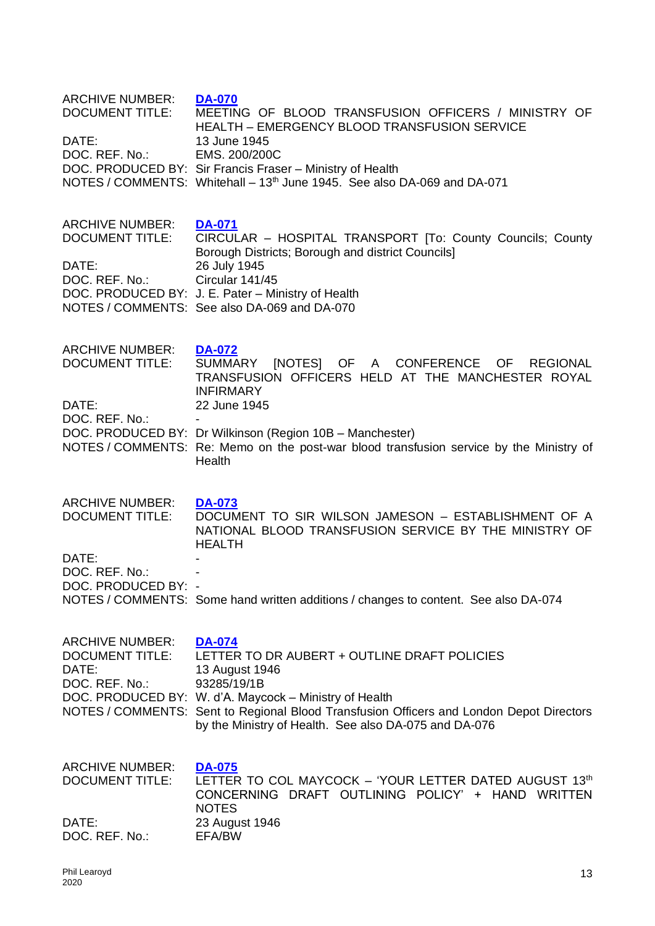| <b>ARCHIVE NUMBER:</b><br><b>DOCUMENT TITLE:</b><br>DATE:<br>DOC. REF. No.:                      | <b>DA-070</b><br>MEETING OF BLOOD TRANSFUSION OFFICERS / MINISTRY OF<br><b>HEALTH - EMERGENCY BLOOD TRANSFUSION SERVICE</b><br>13 June 1945<br>EMS. 200/200C<br>DOC. PRODUCED BY: Sir Francis Fraser - Ministry of Health<br>NOTES / COMMENTS: Whitehall – 13 <sup>th</sup> June 1945. See also DA-069 and DA-071         |
|--------------------------------------------------------------------------------------------------|---------------------------------------------------------------------------------------------------------------------------------------------------------------------------------------------------------------------------------------------------------------------------------------------------------------------------|
| <b>ARCHIVE NUMBER:</b><br><b>DOCUMENT TITLE:</b><br>DATE:<br>DOC. REF. No.:                      | <b>DA-071</b><br>CIRCULAR - HOSPITAL TRANSPORT [To: County Councils; County<br>Borough Districts; Borough and district Councils]<br>26 July 1945<br>Circular 141/45<br>DOC. PRODUCED BY: J. E. Pater - Ministry of Health<br>NOTES / COMMENTS: See also DA-069 and DA-070                                                 |
| <b>ARCHIVE NUMBER:</b><br><b>DOCUMENT TITLE:</b><br>DATE:<br>DOC. REF. No.:                      | <b>DA-072</b><br>SUMMARY<br>[NOTES] OF A CONFERENCE OF REGIONAL<br>TRANSFUSION OFFICERS HELD AT THE MANCHESTER ROYAL<br><b>INFIRMARY</b><br>22 June 1945<br>DOC. PRODUCED BY: Dr Wilkinson (Region 10B - Manchester)<br>NOTES / COMMENTS: Re: Memo on the post-war blood transfusion service by the Ministry of<br>Health |
| <b>ARCHIVE NUMBER:</b><br><b>DOCUMENT TITLE:</b><br>DATE:<br>DOC. REF. No.:<br>DOC. PRODUCED BY: | <b>DA-073</b><br>DOCUMENT TO SIR WILSON JAMESON - ESTABLISHMENT OF A<br>NATIONAL BLOOD TRANSFUSION SERVICE BY THE MINISTRY OF<br><b>HEALTH</b><br>NOTES / COMMENTS: Some hand written additions / changes to content. See also DA-074                                                                                     |
| <b>ARCHIVE NUMBER:</b><br><b>DOCUMENT TITLE:</b><br>DATE:<br>DOC. REF. No.:                      | <b>DA-074</b><br>LETTER TO DR AUBERT + OUTLINE DRAFT POLICIES<br>13 August 1946<br>93285/19/1B<br>DOC. PRODUCED BY: W. d'A. Maycock - Ministry of Health<br>NOTES / COMMENTS: Sent to Regional Blood Transfusion Officers and London Depot Directors<br>by the Ministry of Health. See also DA-075 and DA-076             |
| <b>ARCHIVE NUMBER:</b><br><b>DOCUMENT TITLE:</b><br>DATE:<br>DOC. REF. No.:                      | <b>DA-075</b><br>LETTER TO COL MAYCOCK - 'YOUR LETTER DATED AUGUST 13th<br>CONCERNING DRAFT OUTLINING POLICY' + HAND WRITTEN<br><b>NOTES</b><br>23 August 1946<br>EFA/BW                                                                                                                                                  |